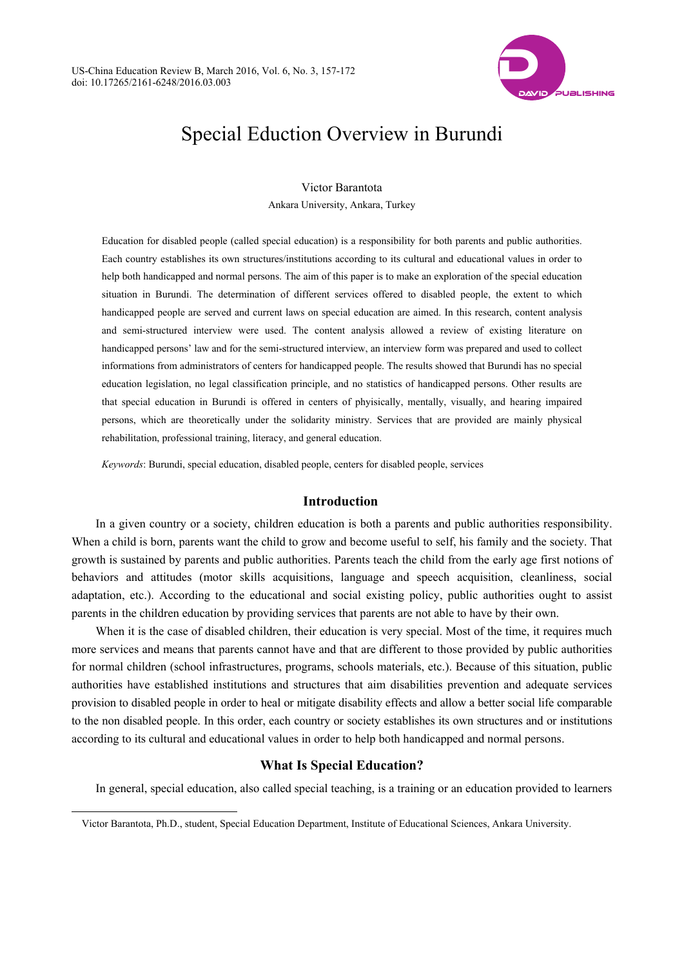

# Special Eduction Overview in Burundi

Victor Barantota

Ankara University, Ankara, Turkey

Education for disabled people (called special education) is a responsibility for both parents and public authorities. Each country establishes its own structures/institutions according to its cultural and educational values in order to help both handicapped and normal persons. The aim of this paper is to make an exploration of the special education situation in Burundi. The determination of different services offered to disabled people, the extent to which handicapped people are served and current laws on special education are aimed. In this research, content analysis and semi-structured interview were used. The content analysis allowed a review of existing literature on handicapped persons' law and for the semi-structured interview, an interview form was prepared and used to collect informations from administrators of centers for handicapped people. The results showed that Burundi has no special education legislation, no legal classification principle, and no statistics of handicapped persons. Other results are that special education in Burundi is offered in centers of phyisically, mentally, visually, and hearing impaired persons, which are theoretically under the solidarity ministry. Services that are provided are mainly physical rehabilitation, professional training, literacy, and general education.

*Keywords*: Burundi, special education, disabled people, centers for disabled people, services

## **Introduction**

In a given country or a society, children education is both a parents and public authorities responsibility. When a child is born, parents want the child to grow and become useful to self, his family and the society. That growth is sustained by parents and public authorities. Parents teach the child from the early age first notions of behaviors and attitudes (motor skills acquisitions, language and speech acquisition, cleanliness, social adaptation, etc.). According to the educational and social existing policy, public authorities ought to assist parents in the children education by providing services that parents are not able to have by their own.

When it is the case of disabled children, their education is very special. Most of the time, it requires much more services and means that parents cannot have and that are different to those provided by public authorities for normal children (school infrastructures, programs, schools materials, etc.). Because of this situation, public authorities have established institutions and structures that aim disabilities prevention and adequate services provision to disabled people in order to heal or mitigate disability effects and allow a better social life comparable to the non disabled people. In this order, each country or society establishes its own structures and or institutions according to its cultural and educational values in order to help both handicapped and normal persons.

## **What Is Special Education?**

In general, special education, also called special teaching, is a training or an education provided to learners

 $\overline{a}$ 

Victor Barantota, Ph.D., student, Special Education Department, Institute of Educational Sciences, Ankara University.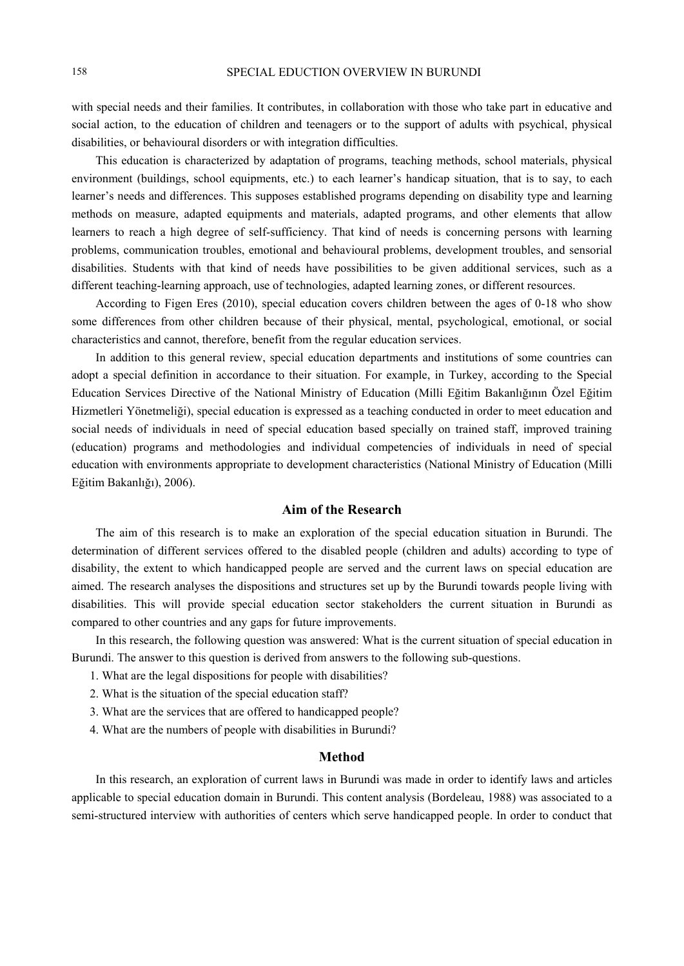with special needs and their families. It contributes, in collaboration with those who take part in educative and social action, to the education of children and teenagers or to the support of adults with psychical, physical disabilities, or behavioural disorders or with integration difficulties.

This education is characterized by adaptation of programs, teaching methods, school materials, physical environment (buildings, school equipments, etc.) to each learner's handicap situation, that is to say, to each learner's needs and differences. This supposes established programs depending on disability type and learning methods on measure, adapted equipments and materials, adapted programs, and other elements that allow learners to reach a high degree of self-sufficiency. That kind of needs is concerning persons with learning problems, communication troubles, emotional and behavioural problems, development troubles, and sensorial disabilities. Students with that kind of needs have possibilities to be given additional services, such as a different teaching-learning approach, use of technologies, adapted learning zones, or different resources.

According to Figen Eres (2010), special education covers children between the ages of 0-18 who show some differences from other children because of their physical, mental, psychological, emotional, or social characteristics and cannot, therefore, benefit from the regular education services.

In addition to this general review, special education departments and institutions of some countries can adopt a special definition in accordance to their situation. For example, in Turkey, according to the Special Education Services Directive of the National Ministry of Education (Milli Eğitim Bakanlığının Özel Eğitim Hizmetleri Yönetmeliği), special education is expressed as a teaching conducted in order to meet education and social needs of individuals in need of special education based specially on trained staff, improved training (education) programs and methodologies and individual competencies of individuals in need of special education with environments appropriate to development characteristics (National Ministry of Education (Milli Eğitim Bakanlığı), 2006).

# **Aim of the Research**

The aim of this research is to make an exploration of the special education situation in Burundi. The determination of different services offered to the disabled people (children and adults) according to type of disability, the extent to which handicapped people are served and the current laws on special education are aimed. The research analyses the dispositions and structures set up by the Burundi towards people living with disabilities. This will provide special education sector stakeholders the current situation in Burundi as compared to other countries and any gaps for future improvements.

In this research, the following question was answered: What is the current situation of special education in Burundi. The answer to this question is derived from answers to the following sub-questions.

- 1. What are the legal dispositions for people with disabilities?
- 2. What is the situation of the special education staff?
- 3. What are the services that are offered to handicapped people?
- 4. What are the numbers of people with disabilities in Burundi?

## **Method**

In this research, an exploration of current laws in Burundi was made in order to identify laws and articles applicable to special education domain in Burundi. This content analysis (Bordeleau, 1988) was associated to a semi-structured interview with authorities of centers which serve handicapped people. In order to conduct that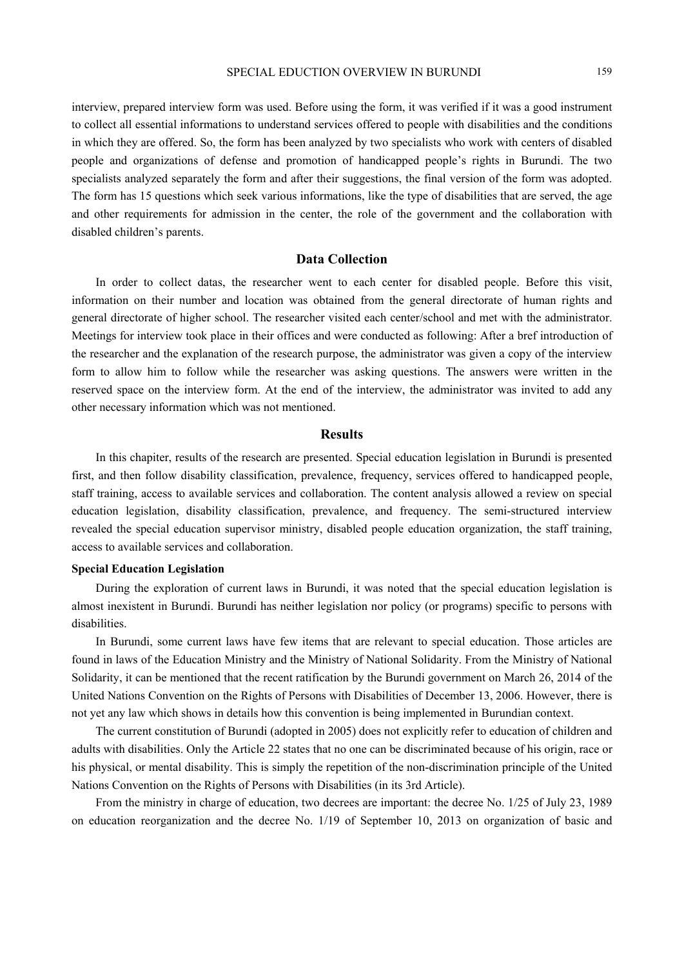interview, prepared interview form was used. Before using the form, it was verified if it was a good instrument to collect all essential informations to understand services offered to people with disabilities and the conditions in which they are offered. So, the form has been analyzed by two specialists who work with centers of disabled people and organizations of defense and promotion of handicapped people's rights in Burundi. The two specialists analyzed separately the form and after their suggestions, the final version of the form was adopted. The form has 15 questions which seek various informations, like the type of disabilities that are served, the age and other requirements for admission in the center, the role of the government and the collaboration with disabled children's parents.

# **Data Collection**

In order to collect datas, the researcher went to each center for disabled people. Before this visit, information on their number and location was obtained from the general directorate of human rights and general directorate of higher school. The researcher visited each center/school and met with the administrator. Meetings for interview took place in their offices and were conducted as following: After a bref introduction of the researcher and the explanation of the research purpose, the administrator was given a copy of the interview form to allow him to follow while the researcher was asking questions. The answers were written in the reserved space on the interview form. At the end of the interview, the administrator was invited to add any other necessary information which was not mentioned.

## **Results**

In this chapiter, results of the research are presented. Special education legislation in Burundi is presented first, and then follow disability classification, prevalence, frequency, services offered to handicapped people, staff training, access to available services and collaboration. The content analysis allowed a review on special education legislation, disability classification, prevalence, and frequency. The semi-structured interview revealed the special education supervisor ministry, disabled people education organization, the staff training, access to available services and collaboration.

## **Special Education Legislation**

During the exploration of current laws in Burundi, it was noted that the special education legislation is almost inexistent in Burundi. Burundi has neither legislation nor policy (or programs) specific to persons with disabilities.

In Burundi, some current laws have few items that are relevant to special education. Those articles are found in laws of the Education Ministry and the Ministry of National Solidarity. From the Ministry of National Solidarity, it can be mentioned that the recent ratification by the Burundi government on March 26, 2014 of the United Nations Convention on the Rights of Persons with Disabilities of December 13, 2006. However, there is not yet any law which shows in details how this convention is being implemented in Burundian context.

The current constitution of Burundi (adopted in 2005) does not explicitly refer to education of children and adults with disabilities. Only the Article 22 states that no one can be discriminated because of his origin, race or his physical, or mental disability. This is simply the repetition of the non-discrimination principle of the United Nations Convention on the Rights of Persons with Disabilities (in its 3rd Article).

From the ministry in charge of education, two decrees are important: the decree No. 1/25 of July 23, 1989 on education reorganization and the decree No. 1/19 of September 10, 2013 on organization of basic and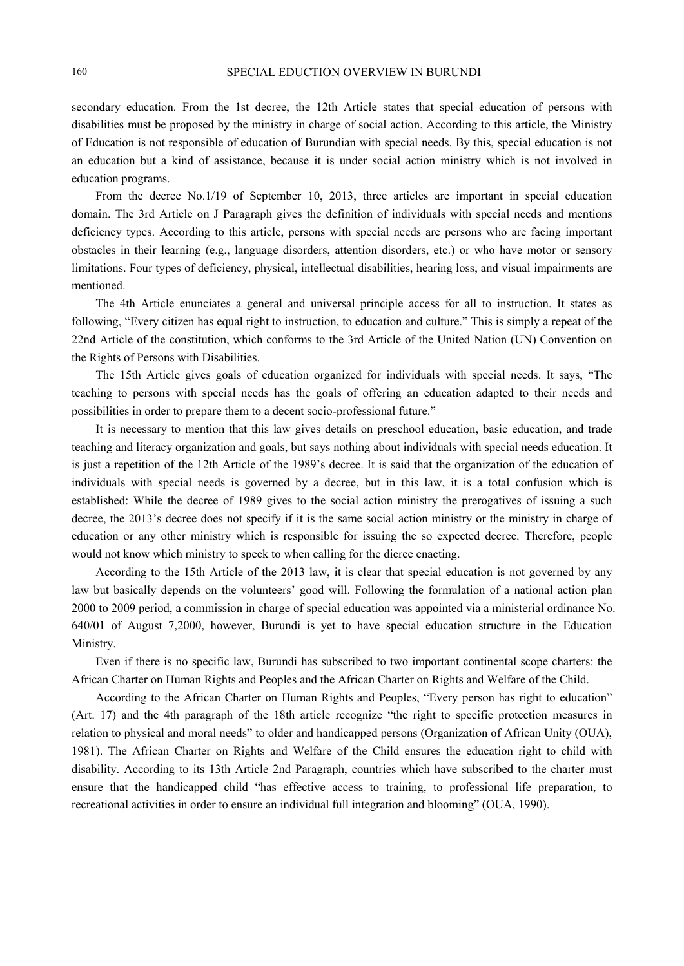secondary education. From the 1st decree, the 12th Article states that special education of persons with disabilities must be proposed by the ministry in charge of social action. According to this article, the Ministry of Education is not responsible of education of Burundian with special needs. By this, special education is not an education but a kind of assistance, because it is under social action ministry which is not involved in education programs.

From the decree No.1/19 of September 10, 2013, three articles are important in special education domain. The 3rd Article on J Paragraph gives the definition of individuals with special needs and mentions deficiency types. According to this article, persons with special needs are persons who are facing important obstacles in their learning (e.g., language disorders, attention disorders, etc.) or who have motor or sensory limitations. Four types of deficiency, physical, intellectual disabilities, hearing loss, and visual impairments are mentioned.

The 4th Article enunciates a general and universal principle access for all to instruction. It states as following, "Every citizen has equal right to instruction, to education and culture." This is simply a repeat of the 22nd Article of the constitution, which conforms to the 3rd Article of the United Nation (UN) Convention on the Rights of Persons with Disabilities.

The 15th Article gives goals of education organized for individuals with special needs. It says, "The teaching to persons with special needs has the goals of offering an education adapted to their needs and possibilities in order to prepare them to a decent socio-professional future."

It is necessary to mention that this law gives details on preschool education, basic education, and trade teaching and literacy organization and goals, but says nothing about individuals with special needs education. It is just a repetition of the 12th Article of the 1989's decree. It is said that the organization of the education of individuals with special needs is governed by a decree, but in this law, it is a total confusion which is established: While the decree of 1989 gives to the social action ministry the prerogatives of issuing a such decree, the 2013's decree does not specify if it is the same social action ministry or the ministry in charge of education or any other ministry which is responsible for issuing the so expected decree. Therefore, people would not know which ministry to speek to when calling for the dicree enacting.

According to the 15th Article of the 2013 law, it is clear that special education is not governed by any law but basically depends on the volunteers' good will. Following the formulation of a national action plan 2000 to 2009 period, a commission in charge of special education was appointed via a ministerial ordinance No. 640/01 of August 7,2000, however, Burundi is yet to have special education structure in the Education Ministry.

Even if there is no specific law, Burundi has subscribed to two important continental scope charters: the African Charter on Human Rights and Peoples and the African Charter on Rights and Welfare of the Child.

According to the African Charter on Human Rights and Peoples, "Every person has right to education" (Art. 17) and the 4th paragraph of the 18th article recognize "the right to specific protection measures in relation to physical and moral needs" to older and handicapped persons (Organization of African Unity (OUA), 1981). The African Charter on Rights and Welfare of the Child ensures the education right to child with disability. According to its 13th Article 2nd Paragraph, countries which have subscribed to the charter must ensure that the handicapped child "has effective access to training, to professional life preparation, to recreational activities in order to ensure an individual full integration and blooming" (OUA, 1990).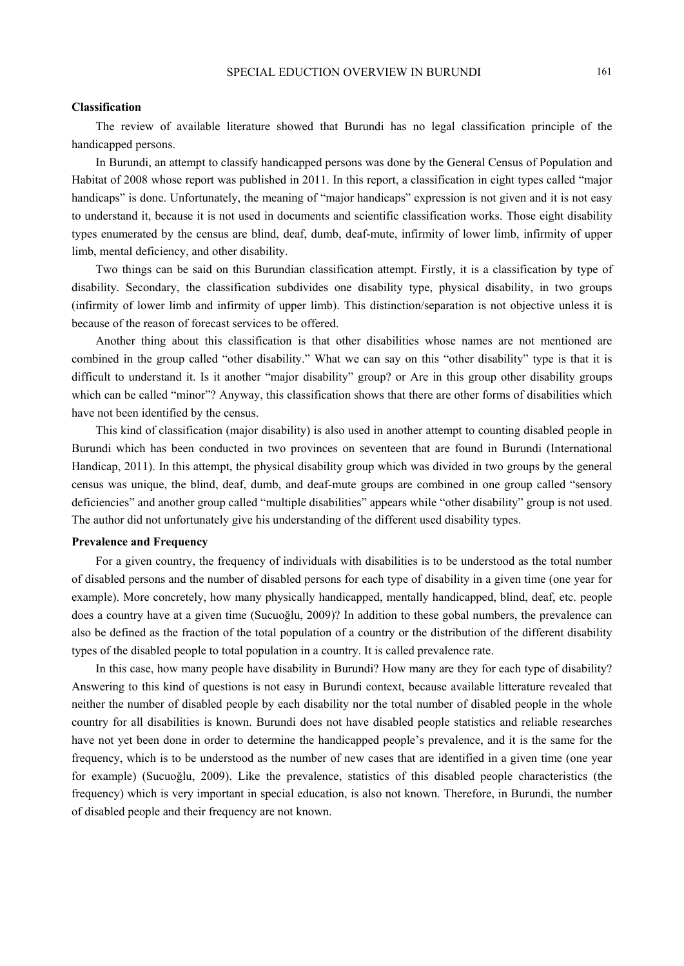# SPECIAL EDUCTION OVERVIEW IN BURUNDI 161

## **Classification**

The review of available literature showed that Burundi has no legal classification principle of the handicapped persons.

In Burundi, an attempt to classify handicapped persons was done by the General Census of Population and Habitat of 2008 whose report was published in 2011. In this report, a classification in eight types called "major handicaps" is done. Unfortunately, the meaning of "major handicaps" expression is not given and it is not easy to understand it, because it is not used in documents and scientific classification works. Those eight disability types enumerated by the census are blind, deaf, dumb, deaf-mute, infirmity of lower limb, infirmity of upper limb, mental deficiency, and other disability.

Two things can be said on this Burundian classification attempt. Firstly, it is a classification by type of disability. Secondary, the classification subdivides one disability type, physical disability, in two groups (infirmity of lower limb and infirmity of upper limb). This distinction/separation is not objective unless it is because of the reason of forecast services to be offered.

Another thing about this classification is that other disabilities whose names are not mentioned are combined in the group called "other disability." What we can say on this "other disability" type is that it is difficult to understand it. Is it another "major disability" group? or Are in this group other disability groups which can be called "minor"? Anyway, this classification shows that there are other forms of disabilities which have not been identified by the census.

This kind of classification (major disability) is also used in another attempt to counting disabled people in Burundi which has been conducted in two provinces on seventeen that are found in Burundi (International Handicap, 2011). In this attempt, the physical disability group which was divided in two groups by the general census was unique, the blind, deaf, dumb, and deaf-mute groups are combined in one group called "sensory deficiencies" and another group called "multiple disabilities" appears while "other disability" group is not used. The author did not unfortunately give his understanding of the different used disability types.

## **Prevalence and Frequency**

For a given country, the frequency of individuals with disabilities is to be understood as the total number of disabled persons and the number of disabled persons for each type of disability in a given time (one year for example). More concretely, how many physically handicapped, mentally handicapped, blind, deaf, etc. people does a country have at a given time (Sucuoğlu, 2009)? In addition to these gobal numbers, the prevalence can also be defined as the fraction of the total population of a country or the distribution of the different disability types of the disabled people to total population in a country. It is called prevalence rate.

In this case, how many people have disability in Burundi? How many are they for each type of disability? Answering to this kind of questions is not easy in Burundi context, because available litterature revealed that neither the number of disabled people by each disability nor the total number of disabled people in the whole country for all disabilities is known. Burundi does not have disabled people statistics and reliable researches have not yet been done in order to determine the handicapped people's prevalence, and it is the same for the frequency, which is to be understood as the number of new cases that are identified in a given time (one year for example) (Sucuoğlu, 2009). Like the prevalence, statistics of this disabled people characteristics (the frequency) which is very important in special education, is also not known. Therefore, in Burundi, the number of disabled people and their frequency are not known.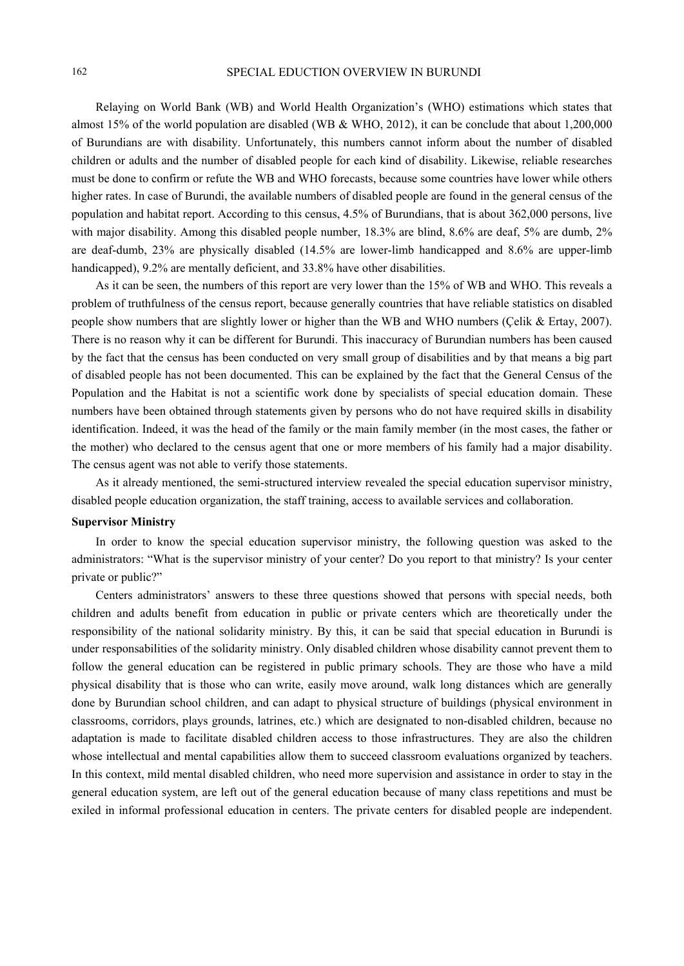Relaying on World Bank (WB) and World Health Organization's (WHO) estimations which states that almost 15% of the world population are disabled (WB & WHO, 2012), it can be conclude that about 1,200,000 of Burundians are with disability. Unfortunately, this numbers cannot inform about the number of disabled children or adults and the number of disabled people for each kind of disability. Likewise, reliable researches must be done to confirm or refute the WB and WHO forecasts, because some countries have lower while others higher rates. In case of Burundi, the available numbers of disabled people are found in the general census of the population and habitat report. According to this census, 4.5% of Burundians, that is about 362,000 persons, live with major disability. Among this disabled people number, 18.3% are blind, 8.6% are deaf, 5% are dumb, 2% are deaf-dumb, 23% are physically disabled (14.5% are lower-limb handicapped and 8.6% are upper-limb handicapped), 9.2% are mentally deficient, and 33.8% have other disabilities.

As it can be seen, the numbers of this report are very lower than the 15% of WB and WHO. This reveals a problem of truthfulness of the census report, because generally countries that have reliable statistics on disabled people show numbers that are slightly lower or higher than the WB and WHO numbers (Çelik & Ertay, 2007). There is no reason why it can be different for Burundi. This inaccuracy of Burundian numbers has been caused by the fact that the census has been conducted on very small group of disabilities and by that means a big part of disabled people has not been documented. This can be explained by the fact that the General Census of the Population and the Habitat is not a scientific work done by specialists of special education domain. These numbers have been obtained through statements given by persons who do not have required skills in disability identification. Indeed, it was the head of the family or the main family member (in the most cases, the father or the mother) who declared to the census agent that one or more members of his family had a major disability. The census agent was not able to verify those statements.

As it already mentioned, the semi-structured interview revealed the special education supervisor ministry, disabled people education organization, the staff training, access to available services and collaboration.

## **Supervisor Ministry**

In order to know the special education supervisor ministry, the following question was asked to the administrators: "What is the supervisor ministry of your center? Do you report to that ministry? Is your center private or public?"

Centers administrators' answers to these three questions showed that persons with special needs, both children and adults benefit from education in public or private centers which are theoretically under the responsibility of the national solidarity ministry. By this, it can be said that special education in Burundi is under responsabilities of the solidarity ministry. Only disabled children whose disability cannot prevent them to follow the general education can be registered in public primary schools. They are those who have a mild physical disability that is those who can write, easily move around, walk long distances which are generally done by Burundian school children, and can adapt to physical structure of buildings (physical environment in classrooms, corridors, plays grounds, latrines, etc.) which are designated to non-disabled children, because no adaptation is made to facilitate disabled children access to those infrastructures. They are also the children whose intellectual and mental capabilities allow them to succeed classroom evaluations organized by teachers. In this context, mild mental disabled children, who need more supervision and assistance in order to stay in the general education system, are left out of the general education because of many class repetitions and must be exiled in informal professional education in centers. The private centers for disabled people are independent.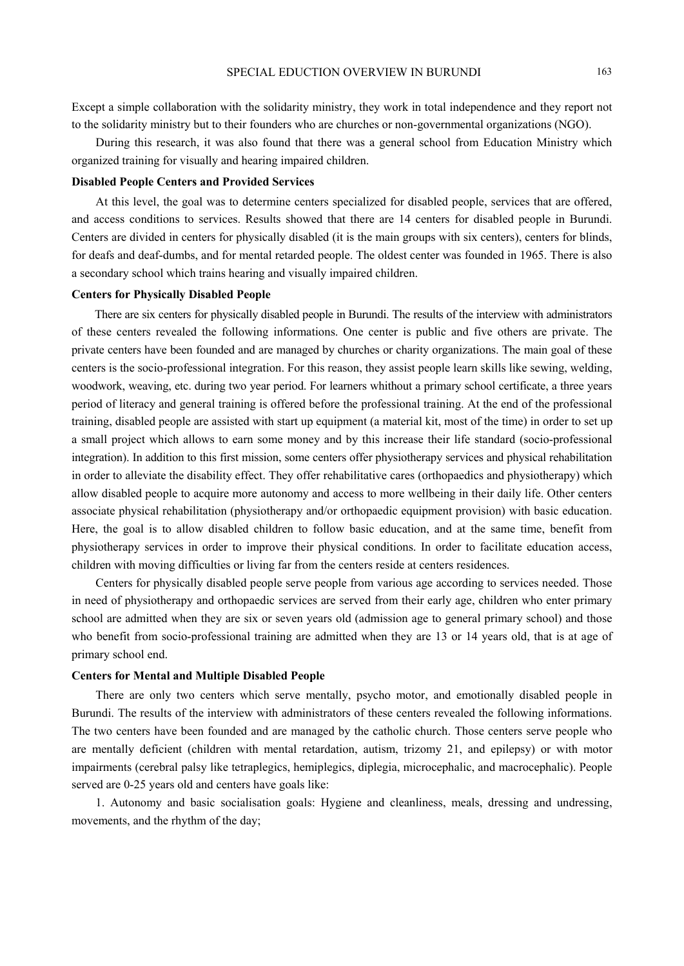Except a simple collaboration with the solidarity ministry, they work in total independence and they report not to the solidarity ministry but to their founders who are churches or non-governmental organizations (NGO).

During this research, it was also found that there was a general school from Education Ministry which organized training for visually and hearing impaired children.

## **Disabled People Centers and Provided Services**

At this level, the goal was to determine centers specialized for disabled people, services that are offered, and access conditions to services. Results showed that there are 14 centers for disabled people in Burundi. Centers are divided in centers for physically disabled (it is the main groups with six centers), centers for blinds, for deafs and deaf-dumbs, and for mental retarded people. The oldest center was founded in 1965. There is also a secondary school which trains hearing and visually impaired children.

## **Centers for Physically Disabled People**

There are six centers for physically disabled people in Burundi. The results of the interview with administrators of these centers revealed the following informations. One center is public and five others are private. The private centers have been founded and are managed by churches or charity organizations. The main goal of these centers is the socio-professional integration. For this reason, they assist people learn skills like sewing, welding, woodwork, weaving, etc. during two year period. For learners whithout a primary school certificate, a three years period of literacy and general training is offered before the professional training. At the end of the professional training, disabled people are assisted with start up equipment (a material kit, most of the time) in order to set up a small project which allows to earn some money and by this increase their life standard (socio-professional integration). In addition to this first mission, some centers offer physiotherapy services and physical rehabilitation in order to alleviate the disability effect. They offer rehabilitative cares (orthopaedics and physiotherapy) which allow disabled people to acquire more autonomy and access to more wellbeing in their daily life. Other centers associate physical rehabilitation (physiotherapy and/or orthopaedic equipment provision) with basic education. Here, the goal is to allow disabled children to follow basic education, and at the same time, benefit from physiotherapy services in order to improve their physical conditions. In order to facilitate education access, children with moving difficulties or living far from the centers reside at centers residences.

Centers for physically disabled people serve people from various age according to services needed. Those in need of physiotherapy and orthopaedic services are served from their early age, children who enter primary school are admitted when they are six or seven years old (admission age to general primary school) and those who benefit from socio-professional training are admitted when they are 13 or 14 years old, that is at age of primary school end.

#### **Centers for Mental and Multiple Disabled People**

There are only two centers which serve mentally, psycho motor, and emotionally disabled people in Burundi. The results of the interview with administrators of these centers revealed the following informations. The two centers have been founded and are managed by the catholic church. Those centers serve people who are mentally deficient (children with mental retardation, autism, trizomy 21, and epilepsy) or with motor impairments (cerebral palsy like tetraplegics, hemiplegics, diplegia, microcephalic, and macrocephalic). People served are 0-25 years old and centers have goals like:

1. Autonomy and basic socialisation goals: Hygiene and cleanliness, meals, dressing and undressing, movements, and the rhythm of the day;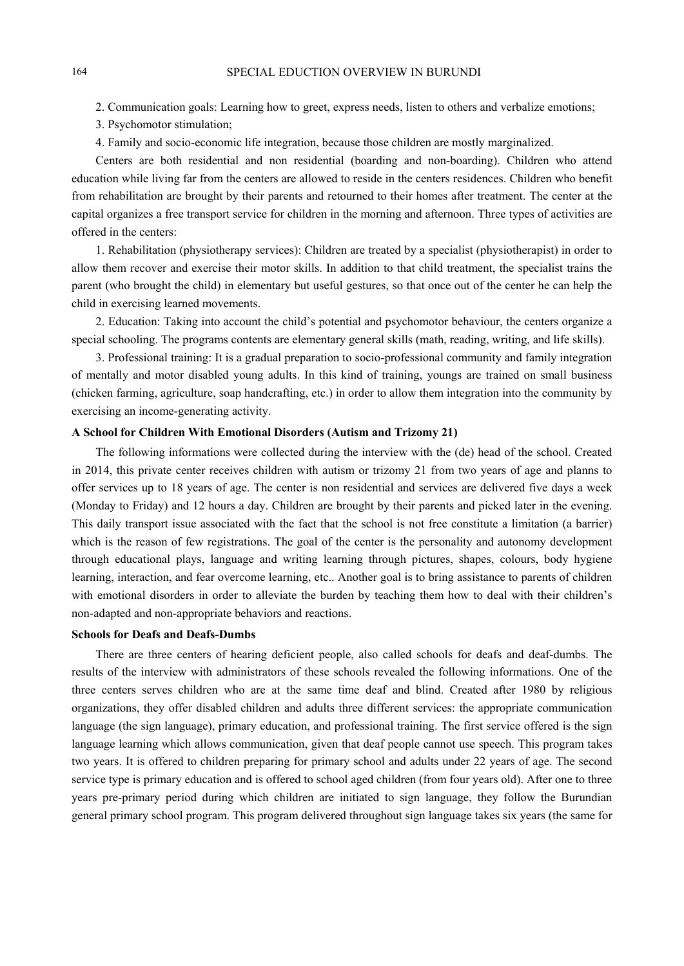2. Communication goals: Learning how to greet, express needs, listen to others and verbalize emotions;

3. Psychomotor stimulation;

4. Family and socio-economic life integration, because those children are mostly marginalized.

Centers are both residential and non residential (boarding and non-boarding). Children who attend education while living far from the centers are allowed to reside in the centers residences. Children who benefit from rehabilitation are brought by their parents and retourned to their homes after treatment. The center at the capital organizes a free transport service for children in the morning and afternoon. Three types of activities are offered in the centers:

1. Rehabilitation (physiotherapy services): Children are treated by a specialist (physiotherapist) in order to allow them recover and exercise their motor skills. In addition to that child treatment, the specialist trains the parent (who brought the child) in elementary but useful gestures, so that once out of the center he can help the child in exercising learned movements.

2. Education: Taking into account the child's potential and psychomotor behaviour, the centers organize a special schooling. The programs contents are elementary general skills (math, reading, writing, and life skills).

3. Professional training: It is a gradual preparation to socio-professional community and family integration of mentally and motor disabled young adults. In this kind of training, youngs are trained on small business (chicken farming, agriculture, soap handcrafting, etc.) in order to allow them integration into the community by exercising an income-generating activity.

## **A School for Children With Emotional Disorders (Autism and Trizomy 21)**

The following informations were collected during the interview with the (de) head of the school. Created in 2014, this private center receives children with autism or trizomy 21 from two years of age and planns to offer services up to 18 years of age. The center is non residential and services are delivered five days a week (Monday to Friday) and 12 hours a day. Children are brought by their parents and picked later in the evening. This daily transport issue associated with the fact that the school is not free constitute a limitation (a barrier) which is the reason of few registrations. The goal of the center is the personality and autonomy development through educational plays, language and writing learning through pictures, shapes, colours, body hygiene learning, interaction, and fear overcome learning, etc.. Another goal is to bring assistance to parents of children with emotional disorders in order to alleviate the burden by teaching them how to deal with their children's non-adapted and non-appropriate behaviors and reactions.

## **Schools for Deafs and Deafs-Dumbs**

There are three centers of hearing deficient people, also called schools for deafs and deaf-dumbs. The results of the interview with administrators of these schools revealed the following informations. One of the three centers serves children who are at the same time deaf and blind. Created after 1980 by religious organizations, they offer disabled children and adults three different services: the appropriate communication language (the sign language), primary education, and professional training. The first service offered is the sign language learning which allows communication, given that deaf people cannot use speech. This program takes two years. It is offered to children preparing for primary school and adults under 22 years of age. The second service type is primary education and is offered to school aged children (from four years old). After one to three years pre-primary period during which children are initiated to sign language, they follow the Burundian general primary school program. This program delivered throughout sign language takes six years (the same for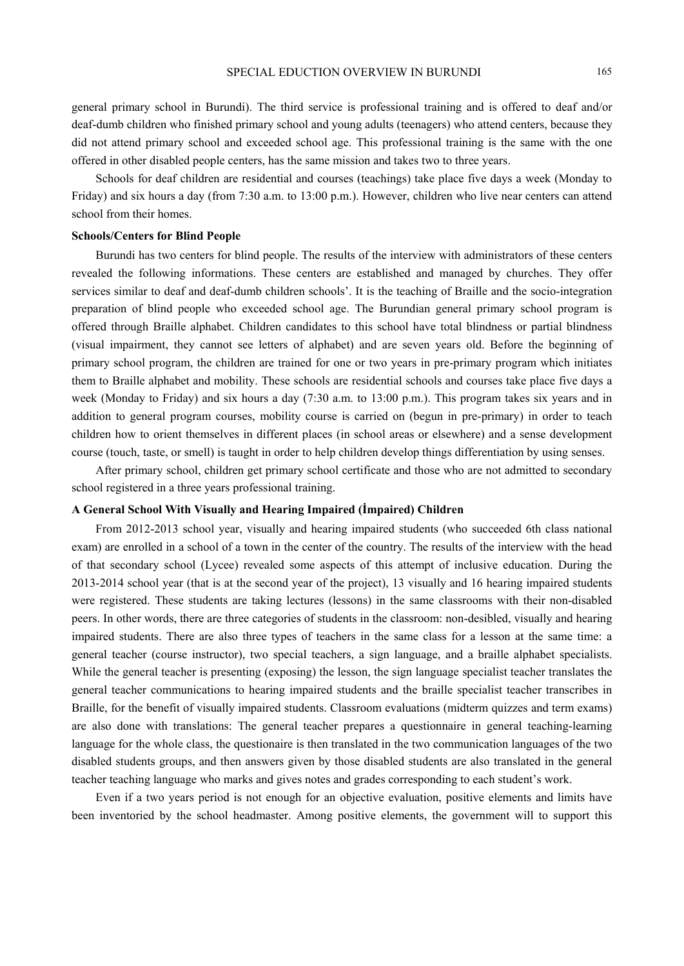general primary school in Burundi). The third service is professional training and is offered to deaf and/or deaf-dumb children who finished primary school and young adults (teenagers) who attend centers, because they did not attend primary school and exceeded school age. This professional training is the same with the one offered in other disabled people centers, has the same mission and takes two to three years.

Schools for deaf children are residential and courses (teachings) take place five days a week (Monday to Friday) and six hours a day (from 7:30 a.m. to 13:00 p.m.). However, children who live near centers can attend school from their homes.

## **Schools/Centers for Blind People**

Burundi has two centers for blind people. The results of the interview with administrators of these centers revealed the following informations. These centers are established and managed by churches. They offer services similar to deaf and deaf-dumb children schools'. It is the teaching of Braille and the socio-integration preparation of blind people who exceeded school age. The Burundian general primary school program is offered through Braille alphabet. Children candidates to this school have total blindness or partial blindness (visual impairment, they cannot see letters of alphabet) and are seven years old. Before the beginning of primary school program, the children are trained for one or two years in pre-primary program which initiates them to Braille alphabet and mobility. These schools are residential schools and courses take place five days a week (Monday to Friday) and six hours a day (7:30 a.m. to 13:00 p.m.). This program takes six years and in addition to general program courses, mobility course is carried on (begun in pre-primary) in order to teach children how to orient themselves in different places (in school areas or elsewhere) and a sense development course (touch, taste, or smell) is taught in order to help children develop things differentiation by using senses.

After primary school, children get primary school certificate and those who are not admitted to secondary school registered in a three years professional training.

## **A General School With Visually and Hearing Impaired (İmpaired) Children**

From 2012-2013 school year, visually and hearing impaired students (who succeeded 6th class national exam) are enrolled in a school of a town in the center of the country. The results of the interview with the head of that secondary school (Lycee) revealed some aspects of this attempt of inclusive education. During the 2013-2014 school year (that is at the second year of the project), 13 visually and 16 hearing impaired students were registered. These students are taking lectures (lessons) in the same classrooms with their non-disabled peers. In other words, there are three categories of students in the classroom: non-desibled, visually and hearing impaired students. There are also three types of teachers in the same class for a lesson at the same time: a general teacher (course instructor), two special teachers, a sign language, and a braille alphabet specialists. While the general teacher is presenting (exposing) the lesson, the sign language specialist teacher translates the general teacher communications to hearing impaired students and the braille specialist teacher transcribes in Braille, for the benefit of visually impaired students. Classroom evaluations (midterm quizzes and term exams) are also done with translations: The general teacher prepares a questionnaire in general teaching-learning language for the whole class, the questionaire is then translated in the two communication languages of the two disabled students groups, and then answers given by those disabled students are also translated in the general teacher teaching language who marks and gives notes and grades corresponding to each student's work.

Even if a two years period is not enough for an objective evaluation, positive elements and limits have been inventoried by the school headmaster. Among positive elements, the government will to support this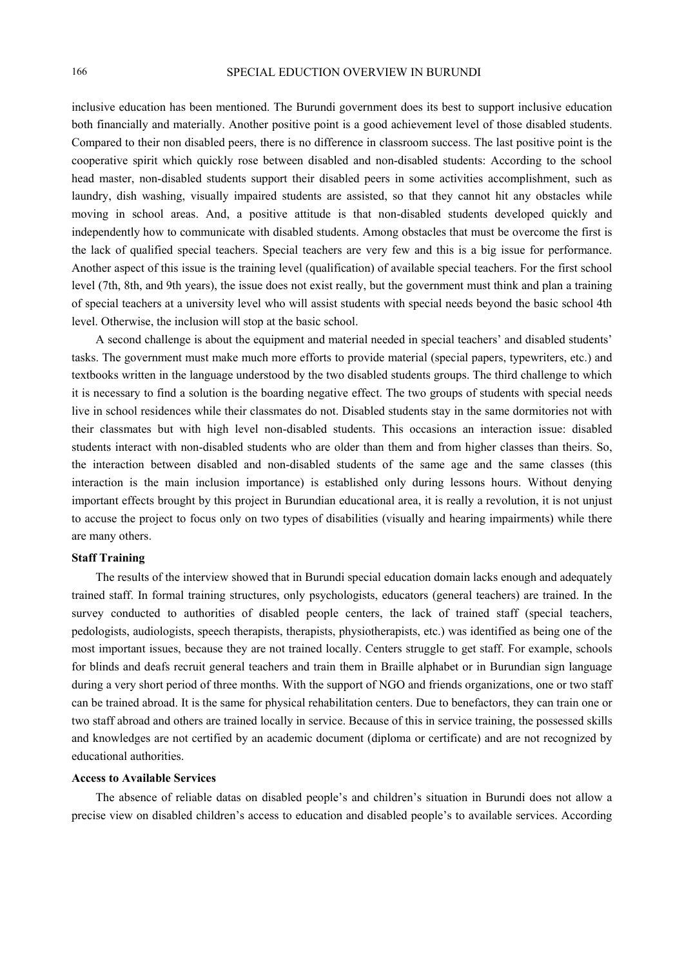inclusive education has been mentioned. The Burundi government does its best to support inclusive education both financially and materially. Another positive point is a good achievement level of those disabled students. Compared to their non disabled peers, there is no difference in classroom success. The last positive point is the cooperative spirit which quickly rose between disabled and non-disabled students: According to the school head master, non-disabled students support their disabled peers in some activities accomplishment, such as laundry, dish washing, visually impaired students are assisted, so that they cannot hit any obstacles while moving in school areas. And, a positive attitude is that non-disabled students developed quickly and independently how to communicate with disabled students. Among obstacles that must be overcome the first is the lack of qualified special teachers. Special teachers are very few and this is a big issue for performance. Another aspect of this issue is the training level (qualification) of available special teachers. For the first school level (7th, 8th, and 9th years), the issue does not exist really, but the government must think and plan a training of special teachers at a university level who will assist students with special needs beyond the basic school 4th level. Otherwise, the inclusion will stop at the basic school.

A second challenge is about the equipment and material needed in special teachers' and disabled students' tasks. The government must make much more efforts to provide material (special papers, typewriters, etc.) and textbooks written in the language understood by the two disabled students groups. The third challenge to which it is necessary to find a solution is the boarding negative effect. The two groups of students with special needs live in school residences while their classmates do not. Disabled students stay in the same dormitories not with their classmates but with high level non-disabled students. This occasions an interaction issue: disabled students interact with non-disabled students who are older than them and from higher classes than theirs. So, the interaction between disabled and non-disabled students of the same age and the same classes (this interaction is the main inclusion importance) is established only during lessons hours. Without denying important effects brought by this project in Burundian educational area, it is really a revolution, it is not unjust to accuse the project to focus only on two types of disabilities (visually and hearing impairments) while there are many others.

## **Staff Training**

The results of the interview showed that in Burundi special education domain lacks enough and adequately trained staff. In formal training structures, only psychologists, educators (general teachers) are trained. In the survey conducted to authorities of disabled people centers, the lack of trained staff (special teachers, pedologists, audiologists, speech therapists, therapists, physiotherapists, etc.) was identified as being one of the most important issues, because they are not trained locally. Centers struggle to get staff. For example, schools for blinds and deafs recruit general teachers and train them in Braille alphabet or in Burundian sign language during a very short period of three months. With the support of NGO and friends organizations, one or two staff can be trained abroad. It is the same for physical rehabilitation centers. Due to benefactors, they can train one or two staff abroad and others are trained locally in service. Because of this in service training, the possessed skills and knowledges are not certified by an academic document (diploma or certificate) and are not recognized by educational authorities.

## **Access to Available Services**

The absence of reliable datas on disabled people's and children's situation in Burundi does not allow a precise view on disabled children's access to education and disabled people's to available services. According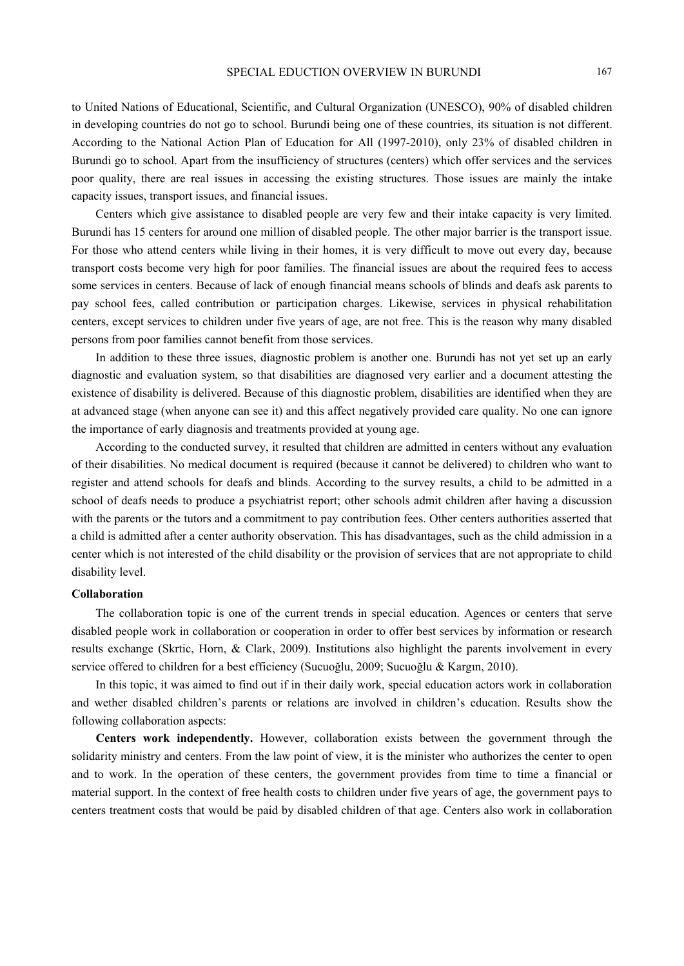to United Nations of Educational, Scientific, and Cultural Organization (UNESCO), 90% of disabled children in developing countries do not go to school. Burundi being one of these countries, its situation is not different. According to the National Action Plan of Education for All (1997-2010), only 23% of disabled children in Burundi go to school. Apart from the insufficiency of structures (centers) which offer services and the services poor quality, there are real issues in accessing the existing structures. Those issues are mainly the intake capacity issues, transport issues, and financial issues.

Centers which give assistance to disabled people are very few and their intake capacity is very limited. Burundi has 15 centers for around one million of disabled people. The other major barrier is the transport issue. For those who attend centers while living in their homes, it is very difficult to move out every day, because transport costs become very high for poor families. The financial issues are about the required fees to access some services in centers. Because of lack of enough financial means schools of blinds and deafs ask parents to pay school fees, called contribution or participation charges. Likewise, services in physical rehabilitation centers, except services to children under five years of age, are not free. This is the reason why many disabled persons from poor families cannot benefit from those services.

In addition to these three issues, diagnostic problem is another one. Burundi has not yet set up an early diagnostic and evaluation system, so that disabilities are diagnosed very earlier and a document attesting the existence of disability is delivered. Because of this diagnostic problem, disabilities are identified when they are at advanced stage (when anyone can see it) and this affect negatively provided care quality. No one can ignore the importance of early diagnosis and treatments provided at young age.

According to the conducted survey, it resulted that children are admitted in centers without any evaluation of their disabilities. No medical document is required (because it cannot be delivered) to children who want to register and attend schools for deafs and blinds. According to the survey results, a child to be admitted in a school of deafs needs to produce a psychiatrist report; other schools admit children after having a discussion with the parents or the tutors and a commitment to pay contribution fees. Other centers authorities asserted that a child is admitted after a center authority observation. This has disadvantages, such as the child admission in a center which is not interested of the child disability or the provision of services that are not appropriate to child disability level.

#### **Collaboration**

The collaboration topic is one of the current trends in special education. Agences or centers that serve disabled people work in collaboration or cooperation in order to offer best services by information or research results exchange (Skrtic, Horn, & Clark, 2009). Institutions also highlight the parents involvement in every service offered to children for a best efficiency (Sucuoğlu, 2009; Sucuoğlu & Kargın, 2010).

In this topic, it was aimed to find out if in their daily work, special education actors work in collaboration and wether disabled children's parents or relations are involved in children's education. Results show the following collaboration aspects:

**Centers work independently.** However, collaboration exists between the government through the solidarity ministry and centers. From the law point of view, it is the minister who authorizes the center to open and to work. In the operation of these centers, the government provides from time to time a financial or material support. In the context of free health costs to children under five years of age, the government pays to centers treatment costs that would be paid by disabled children of that age. Centers also work in collaboration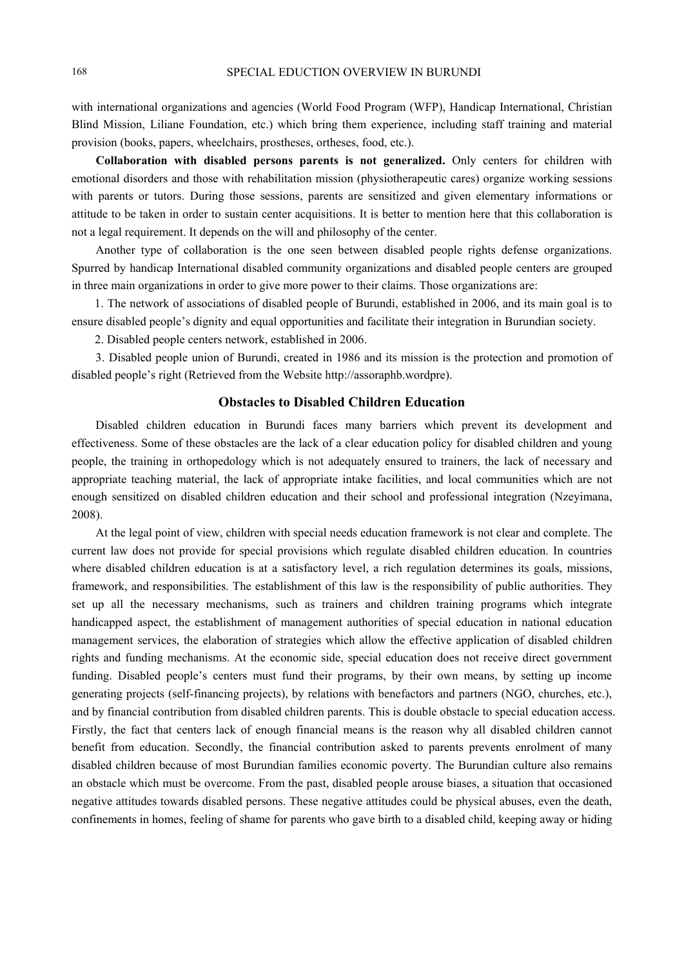with international organizations and agencies (World Food Program (WFP), Handicap International, Christian Blind Mission, Liliane Foundation, etc.) which bring them experience, including staff training and material provision (books, papers, wheelchairs, prostheses, ortheses, food, etc.).

**Collaboration with disabled persons parents is not generalized.** Only centers for children with emotional disorders and those with rehabilitation mission (physiotherapeutic cares) organize working sessions with parents or tutors. During those sessions, parents are sensitized and given elementary informations or attitude to be taken in order to sustain center acquisitions. It is better to mention here that this collaboration is not a legal requirement. It depends on the will and philosophy of the center.

Another type of collaboration is the one seen between disabled people rights defense organizations. Spurred by handicap International disabled community organizations and disabled people centers are grouped in three main organizations in order to give more power to their claims. Those organizations are:

1. The network of associations of disabled people of Burundi, established in 2006, and its main goal is to ensure disabled people's dignity and equal opportunities and facilitate their integration in Burundian society.

2. Disabled people centers network, established in 2006.

3. Disabled people union of Burundi, created in 1986 and its mission is the protection and promotion of disabled people's right (Retrieved from the Website http://assoraphb.wordpre).

## **Obstacles to Disabled Children Education**

Disabled children education in Burundi faces many barriers which prevent its development and effectiveness. Some of these obstacles are the lack of a clear education policy for disabled children and young people, the training in orthopedology which is not adequately ensured to trainers, the lack of necessary and appropriate teaching material, the lack of appropriate intake facilities, and local communities which are not enough sensitized on disabled children education and their school and professional integration (Nzeyimana, 2008).

At the legal point of view, children with special needs education framework is not clear and complete. The current law does not provide for special provisions which regulate disabled children education. In countries where disabled children education is at a satisfactory level, a rich regulation determines its goals, missions, framework, and responsibilities. The establishment of this law is the responsibility of public authorities. They set up all the necessary mechanisms, such as trainers and children training programs which integrate handicapped aspect, the establishment of management authorities of special education in national education management services, the elaboration of strategies which allow the effective application of disabled children rights and funding mechanisms. At the economic side, special education does not receive direct government funding. Disabled people's centers must fund their programs, by their own means, by setting up income generating projects (self-financing projects), by relations with benefactors and partners (NGO, churches, etc.), and by financial contribution from disabled children parents. This is double obstacle to special education access. Firstly, the fact that centers lack of enough financial means is the reason why all disabled children cannot benefit from education. Secondly, the financial contribution asked to parents prevents enrolment of many disabled children because of most Burundian families economic poverty. The Burundian culture also remains an obstacle which must be overcome. From the past, disabled people arouse biases, a situation that occasioned negative attitudes towards disabled persons. These negative attitudes could be physical abuses, even the death, confinements in homes, feeling of shame for parents who gave birth to a disabled child, keeping away or hiding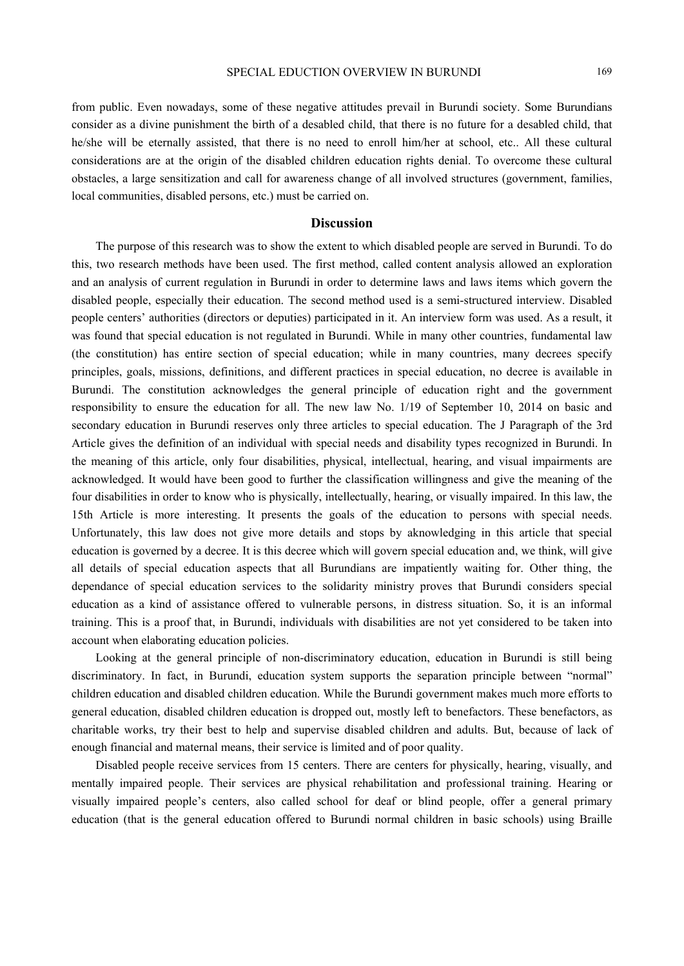from public. Even nowadays, some of these negative attitudes prevail in Burundi society. Some Burundians consider as a divine punishment the birth of a desabled child, that there is no future for a desabled child, that he/she will be eternally assisted, that there is no need to enroll him/her at school, etc.. All these cultural considerations are at the origin of the disabled children education rights denial. To overcome these cultural obstacles, a large sensitization and call for awareness change of all involved structures (government, families, local communities, disabled persons, etc.) must be carried on.

## **Discussion**

The purpose of this research was to show the extent to which disabled people are served in Burundi. To do this, two research methods have been used. The first method, called content analysis allowed an exploration and an analysis of current regulation in Burundi in order to determine laws and laws items which govern the disabled people, especially their education. The second method used is a semi-structured interview. Disabled people centers' authorities (directors or deputies) participated in it. An interview form was used. As a result, it was found that special education is not regulated in Burundi. While in many other countries, fundamental law (the constitution) has entire section of special education; while in many countries, many decrees specify principles, goals, missions, definitions, and different practices in special education, no decree is available in Burundi. The constitution acknowledges the general principle of education right and the government responsibility to ensure the education for all. The new law No. 1/19 of September 10, 2014 on basic and secondary education in Burundi reserves only three articles to special education. The J Paragraph of the 3rd Article gives the definition of an individual with special needs and disability types recognized in Burundi. In the meaning of this article, only four disabilities, physical, intellectual, hearing, and visual impairments are acknowledged. It would have been good to further the classification willingness and give the meaning of the four disabilities in order to know who is physically, intellectually, hearing, or visually impaired. In this law, the 15th Article is more interesting. It presents the goals of the education to persons with special needs. Unfortunately, this law does not give more details and stops by aknowledging in this article that special education is governed by a decree. It is this decree which will govern special education and, we think, will give all details of special education aspects that all Burundians are impatiently waiting for. Other thing, the dependance of special education services to the solidarity ministry proves that Burundi considers special education as a kind of assistance offered to vulnerable persons, in distress situation. So, it is an informal training. This is a proof that, in Burundi, individuals with disabilities are not yet considered to be taken into account when elaborating education policies.

Looking at the general principle of non-discriminatory education, education in Burundi is still being discriminatory. In fact, in Burundi, education system supports the separation principle between "normal" children education and disabled children education. While the Burundi government makes much more efforts to general education, disabled children education is dropped out, mostly left to benefactors. These benefactors, as charitable works, try their best to help and supervise disabled children and adults. But, because of lack of enough financial and maternal means, their service is limited and of poor quality.

Disabled people receive services from 15 centers. There are centers for physically, hearing, visually, and mentally impaired people. Their services are physical rehabilitation and professional training. Hearing or visually impaired people's centers, also called school for deaf or blind people, offer a general primary education (that is the general education offered to Burundi normal children in basic schools) using Braille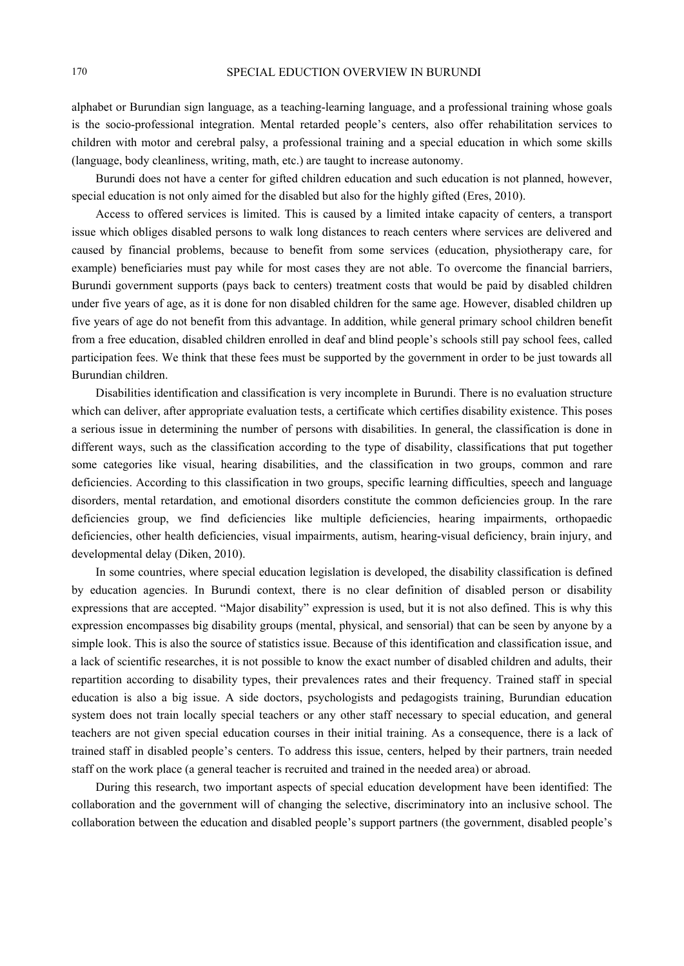alphabet or Burundian sign language, as a teaching-learning language, and a professional training whose goals is the socio-professional integration. Mental retarded people's centers, also offer rehabilitation services to children with motor and cerebral palsy, a professional training and a special education in which some skills (language, body cleanliness, writing, math, etc.) are taught to increase autonomy.

Burundi does not have a center for gifted children education and such education is not planned, however, special education is not only aimed for the disabled but also for the highly gifted (Eres, 2010).

Access to offered services is limited. This is caused by a limited intake capacity of centers, a transport issue which obliges disabled persons to walk long distances to reach centers where services are delivered and caused by financial problems, because to benefit from some services (education, physiotherapy care, for example) beneficiaries must pay while for most cases they are not able. To overcome the financial barriers, Burundi government supports (pays back to centers) treatment costs that would be paid by disabled children under five years of age, as it is done for non disabled children for the same age. However, disabled children up five years of age do not benefit from this advantage. In addition, while general primary school children benefit from a free education, disabled children enrolled in deaf and blind people's schools still pay school fees, called participation fees. We think that these fees must be supported by the government in order to be just towards all Burundian children.

Disabilities identification and classification is very incomplete in Burundi. There is no evaluation structure which can deliver, after appropriate evaluation tests, a certificate which certifies disability existence. This poses a serious issue in determining the number of persons with disabilities. In general, the classification is done in different ways, such as the classification according to the type of disability, classifications that put together some categories like visual, hearing disabilities, and the classification in two groups, common and rare deficiencies. According to this classification in two groups, specific learning difficulties, speech and language disorders, mental retardation, and emotional disorders constitute the common deficiencies group. In the rare deficiencies group, we find deficiencies like multiple deficiencies, hearing impairments, orthopaedic deficiencies, other health deficiencies, visual impairments, autism, hearing-visual deficiency, brain injury, and developmental delay (Diken, 2010).

In some countries, where special education legislation is developed, the disability classification is defined by education agencies. In Burundi context, there is no clear definition of disabled person or disability expressions that are accepted. "Major disability" expression is used, but it is not also defined. This is why this expression encompasses big disability groups (mental, physical, and sensorial) that can be seen by anyone by a simple look. This is also the source of statistics issue. Because of this identification and classification issue, and a lack of scientific researches, it is not possible to know the exact number of disabled children and adults, their repartition according to disability types, their prevalences rates and their frequency. Trained staff in special education is also a big issue. A side doctors, psychologists and pedagogists training, Burundian education system does not train locally special teachers or any other staff necessary to special education, and general teachers are not given special education courses in their initial training. As a consequence, there is a lack of trained staff in disabled people's centers. To address this issue, centers, helped by their partners, train needed staff on the work place (a general teacher is recruited and trained in the needed area) or abroad.

During this research, two important aspects of special education development have been identified: The collaboration and the government will of changing the selective, discriminatory into an inclusive school. The collaboration between the education and disabled people's support partners (the government, disabled people's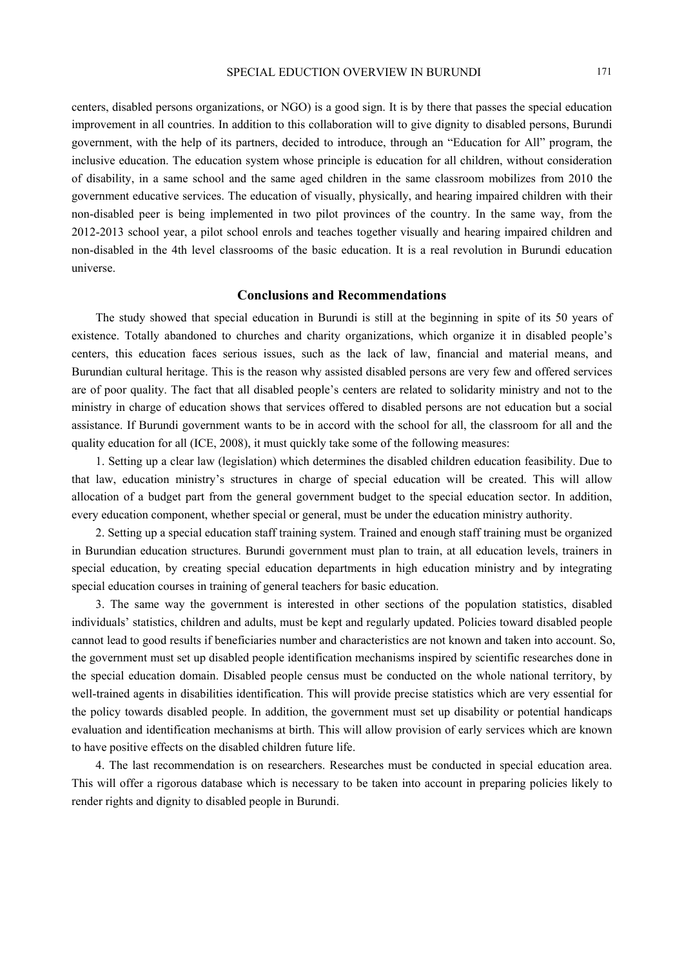centers, disabled persons organizations, or NGO) is a good sign. It is by there that passes the special education improvement in all countries. In addition to this collaboration will to give dignity to disabled persons, Burundi government, with the help of its partners, decided to introduce, through an "Education for All" program, the inclusive education. The education system whose principle is education for all children, without consideration of disability, in a same school and the same aged children in the same classroom mobilizes from 2010 the government educative services. The education of visually, physically, and hearing impaired children with their non-disabled peer is being implemented in two pilot provinces of the country. In the same way, from the 2012-2013 school year, a pilot school enrols and teaches together visually and hearing impaired children and non-disabled in the 4th level classrooms of the basic education. It is a real revolution in Burundi education universe.

# **Conclusions and Recommendations**

The study showed that special education in Burundi is still at the beginning in spite of its 50 years of existence. Totally abandoned to churches and charity organizations, which organize it in disabled people's centers, this education faces serious issues, such as the lack of law, financial and material means, and Burundian cultural heritage. This is the reason why assisted disabled persons are very few and offered services are of poor quality. The fact that all disabled people's centers are related to solidarity ministry and not to the ministry in charge of education shows that services offered to disabled persons are not education but a social assistance. If Burundi government wants to be in accord with the school for all, the classroom for all and the quality education for all (ICE, 2008), it must quickly take some of the following measures:

1. Setting up a clear law (legislation) which determines the disabled children education feasibility. Due to that law, education ministry's structures in charge of special education will be created. This will allow allocation of a budget part from the general government budget to the special education sector. In addition, every education component, whether special or general, must be under the education ministry authority.

2. Setting up a special education staff training system. Trained and enough staff training must be organized in Burundian education structures. Burundi government must plan to train, at all education levels, trainers in special education, by creating special education departments in high education ministry and by integrating special education courses in training of general teachers for basic education.

3. The same way the government is interested in other sections of the population statistics, disabled individuals' statistics, children and adults, must be kept and regularly updated. Policies toward disabled people cannot lead to good results if beneficiaries number and characteristics are not known and taken into account. So, the government must set up disabled people identification mechanisms inspired by scientific researches done in the special education domain. Disabled people census must be conducted on the whole national territory, by well-trained agents in disabilities identification. This will provide precise statistics which are very essential for the policy towards disabled people. In addition, the government must set up disability or potential handicaps evaluation and identification mechanisms at birth. This will allow provision of early services which are known to have positive effects on the disabled children future life.

4. The last recommendation is on researchers. Researches must be conducted in special education area. This will offer a rigorous database which is necessary to be taken into account in preparing policies likely to render rights and dignity to disabled people in Burundi.